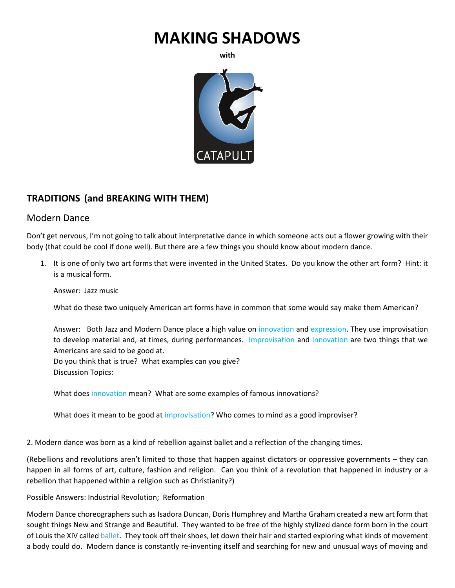# **MAKING SHADOWS**

**with**



# **TRADITIONS (and BREAKING WITH THEM)**

# Modern Dance

Don't get nervous, I'm not going to talk about interpretative dance in which someone acts out a flower growing with their body (that could be cool if done well). But there are a few things you should know about modern dance.

1. It is one of only two art forms that were invented in the United States. Do you know the other art form? Hint: it is a musical form.

Answer: Jazz music

What do these two uniquely American art forms have in common that some would say make them American?

Answer: Both Jazz and Modern Dance place a high value on innovation and expression. They use improvisation to develop material and, at times, during performances. Improvisation and Innovation are two things that we Americans are said to be good at.

Do you think that is true? What examples can you give? Discussion Topics:

What does innovation mean? What are some examples of famous innovations?

What does it mean to be good at improvisation? Who comes to mind as a good improviser?

2. Modern dance was born as a kind of rebellion against ballet and a reflection of the changing times.

(Rebellions and revolutions aren't limited to those that happen against dictators or oppressive governments – they can happen in all forms of art, culture, fashion and religion. Can you think of a revolution that happened in industry or a rebellion that happened within a religion such as Christianity?)

Possible Answers: Industrial Revolution; Reformation

Modern Dance choreographers such as Isadora Duncan, Doris Humphrey and Martha Graham created a new art form that sought things New and Strange and Beautiful. They wanted to be free of the highly stylized dance form born in the court of Louis the XIV called ballet. They took off their shoes, let down their hair and started exploring what kinds of movement a body could do. Modern dance is constantly re-inventing itself and searching for new and unusual ways of moving and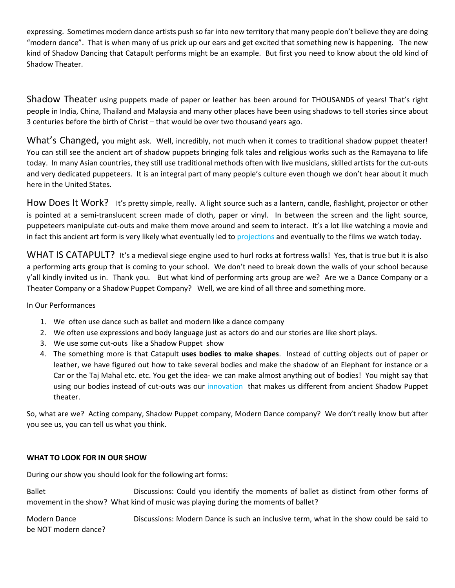expressing. Sometimes modern dance artists push so far into new territory that many people don't believe they are doing "modern dance". That is when many of us prick up our ears and get excited that something new is happening. The new kind of Shadow Dancing that Catapult performs might be an example. But first you need to know about the old kind of Shadow Theater.

Shadow Theater using puppets made of paper or leather has been around for THOUSANDS of years! That's right people in India, China, Thailand and Malaysia and many other places have been using shadows to tell stories since about 3 centuries before the birth of Christ – that would be over two thousand years ago.

What's Changed, you might ask. Well, incredibly, not much when it comes to traditional shadow puppet theater! You can still see the ancient art of shadow puppets bringing folk tales and religious works such as the Ramayana to life today. In many Asian countries, they still use traditional methods often with live musicians, skilled artists for the cut-outs and very dedicated puppeteers. It is an integral part of many people's culture even though we don't hear about it much here in the United States.

How Does It Work? It's pretty simple, really. A light source such as a lantern, candle, flashlight, projector or other is pointed at a semi-translucent screen made of cloth, paper or vinyl. In between the screen and the light source, puppeteers manipulate cut-outs and make them move around and seem to interact. It's a lot like watching a movie and in fact this ancient art form is very likely what eventually led to projections and eventually to the films we watch today.

WHAT IS CATAPULT? It's a medieval siege engine used to hurl rocks at fortress walls! Yes, that is true but it is also a performing arts group that is coming to your school. We don't need to break down the walls of your school because y'all kindly invited us in. Thank you. But what kind of performing arts group are we? Are we a Dance Company or a Theater Company or a Shadow Puppet Company? Well, we are kind of all three and something more.

In Our Performances

- 1. We often use dance such as ballet and modern like a dance company
- 2. We often use expressions and body language just as actors do and our stories are like short plays.
- 3. We use some cut-outs like a Shadow Puppet show
- 4. The something more is that Catapult **uses bodies to make shapes**. Instead of cutting objects out of paper or leather, we have figured out how to take several bodies and make the shadow of an Elephant for instance or a Car or the Taj Mahal etc. etc. You get the idea- we can make almost anything out of bodies! You might say that using our bodies instead of cut-outs was our innovation that makes us different from ancient Shadow Puppet theater.

So, what are we? Acting company, Shadow Puppet company, Modern Dance company? We don't really know but after you see us, you can tell us what you think.

## **WHAT TO LOOK FOR IN OUR SHOW**

During our show you should look for the following art forms:

Ballet **Example 2** Discussions: Could you identify the moments of ballet as distinct from other forms of movement in the show? What kind of music was playing during the moments of ballet?

Modern Dance **Discussions: Modern Dance is such an inclusive term, what in the show could be said to** be NOT modern dance?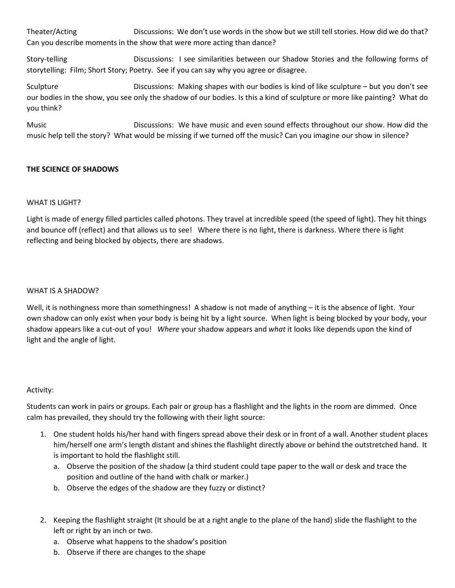Theater/Acting **Discussions:** We don't use words in the show but we still tell stories. How did we do that? Can you describe moments in the show that were more acting than dance?

Story-telling Discussions: I see similarities between our Shadow Stories and the following forms of storytelling: Film; Short Story; Poetry. See if you can say why you agree or disagree.

Sculpture **Discussions: Making shapes with our bodies is kind of like sculpture – but you don't see** our bodies in the show, you see only the shadow of our bodies. Is this a kind of sculpture or more like painting? What do you think?

Music Discussions: We have music and even sound effects throughout our show. How did the music help tell the story? What would be missing if we turned off the music? Can you imagine our show in silence?

## **THE SCIENCE OF SHADOWS**

## WHAT IS LIGHT?

Light is made of energy filled particles called photons. They travel at incredible speed (the speed of light). They hit things and bounce off (reflect) and that allows us to see! Where there is no light, there is darkness. Where there is light reflecting and being blocked by objects, there are shadows.

#### WHAT IS A SHADOW?

Well, it is nothingness more than somethingness! A shadow is not made of anything – it is the absence of light. Your own shadow can only exist when your body is being hit by a light source. When light is being blocked by your body, your shadow appears like a cut-out of you! *Where* your shadow appears and *what* it looks like depends upon the kind of light and the angle of light.

#### Activity:

Students can work in pairs or groups. Each pair or group has a flashlight and the lights in the room are dimmed. Once calm has prevailed, they should try the following with their light source:

- 1. One student holds his/her hand with fingers spread above their desk or in front of a wall. Another student places him/herself one arm's length distant and shines the flashlight directly above or behind the outstretched hand. It is important to hold the flashlight still.
	- a. Observe the position of the shadow (a third student could tape paper to the wall or desk and trace the position and outline of the hand with chalk or marker.)
	- b. Observe the edges of the shadow are they fuzzy or distinct?
- 2. Keeping the flashlight straight (It should be at a right angle to the plane of the hand) slide the flashlight to the left or right by an inch or two.
	- a. Observe what happens to the shadow's position
	- b. Observe if there are changes to the shape